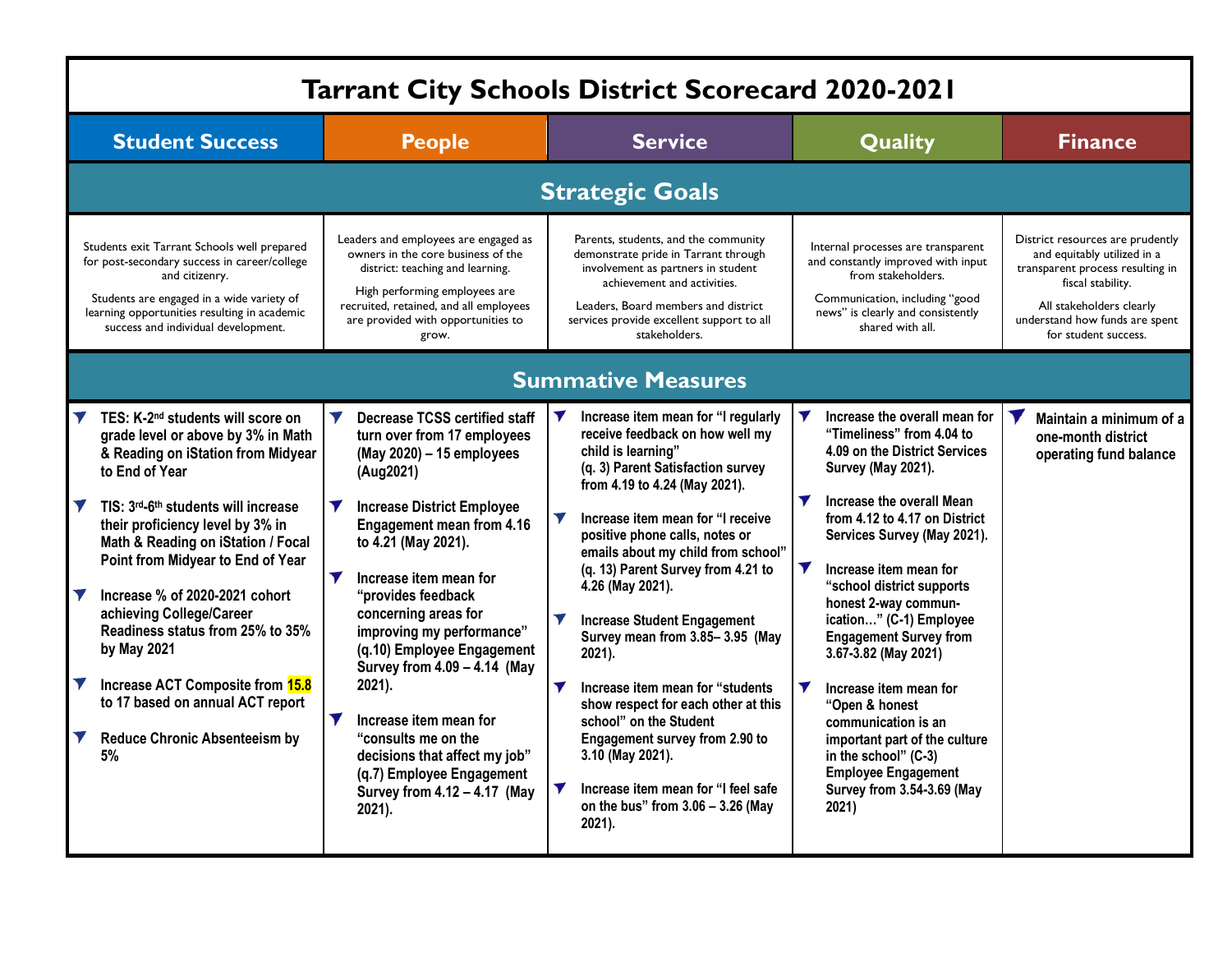| <b>Tarrant City Schools District Scorecard 2020-2021</b>                                                                                                                                                                                                                                                                                                                                                                                                                                                                                                                                 |                                                                                                                                                                                                                                                                                                                                                                                                                                                                                                                                                                                                                               |                                                                                                                                                                                                                                                                                                                                                                                                                                                                                                                                                                                                                                                                                                        |                                                                                                                                                                                                                                                                                                                                                                                                                                                                                                                                                                                                                 |                                                                                                                                                                                                                |  |  |  |  |
|------------------------------------------------------------------------------------------------------------------------------------------------------------------------------------------------------------------------------------------------------------------------------------------------------------------------------------------------------------------------------------------------------------------------------------------------------------------------------------------------------------------------------------------------------------------------------------------|-------------------------------------------------------------------------------------------------------------------------------------------------------------------------------------------------------------------------------------------------------------------------------------------------------------------------------------------------------------------------------------------------------------------------------------------------------------------------------------------------------------------------------------------------------------------------------------------------------------------------------|--------------------------------------------------------------------------------------------------------------------------------------------------------------------------------------------------------------------------------------------------------------------------------------------------------------------------------------------------------------------------------------------------------------------------------------------------------------------------------------------------------------------------------------------------------------------------------------------------------------------------------------------------------------------------------------------------------|-----------------------------------------------------------------------------------------------------------------------------------------------------------------------------------------------------------------------------------------------------------------------------------------------------------------------------------------------------------------------------------------------------------------------------------------------------------------------------------------------------------------------------------------------------------------------------------------------------------------|----------------------------------------------------------------------------------------------------------------------------------------------------------------------------------------------------------------|--|--|--|--|
| <b>Student Success</b>                                                                                                                                                                                                                                                                                                                                                                                                                                                                                                                                                                   | <b>People</b>                                                                                                                                                                                                                                                                                                                                                                                                                                                                                                                                                                                                                 | <b>Service</b>                                                                                                                                                                                                                                                                                                                                                                                                                                                                                                                                                                                                                                                                                         | Quality                                                                                                                                                                                                                                                                                                                                                                                                                                                                                                                                                                                                         | <b>Finance</b>                                                                                                                                                                                                 |  |  |  |  |
| <b>Strategic Goals</b>                                                                                                                                                                                                                                                                                                                                                                                                                                                                                                                                                                   |                                                                                                                                                                                                                                                                                                                                                                                                                                                                                                                                                                                                                               |                                                                                                                                                                                                                                                                                                                                                                                                                                                                                                                                                                                                                                                                                                        |                                                                                                                                                                                                                                                                                                                                                                                                                                                                                                                                                                                                                 |                                                                                                                                                                                                                |  |  |  |  |
| Students exit Tarrant Schools well prepared<br>for post-secondary success in career/college<br>and citizenry.<br>Students are engaged in a wide variety of<br>learning opportunities resulting in academic<br>success and individual development.                                                                                                                                                                                                                                                                                                                                        | Leaders and employees are engaged as<br>owners in the core business of the<br>district: teaching and learning.<br>High performing employees are<br>recruited, retained, and all employees<br>are provided with opportunities to<br>grow.                                                                                                                                                                                                                                                                                                                                                                                      | Parents, students, and the community<br>demonstrate pride in Tarrant through<br>involvement as partners in student<br>achievement and activities.<br>Leaders. Board members and district<br>services provide excellent support to all<br>stakeholders.                                                                                                                                                                                                                                                                                                                                                                                                                                                 | Internal processes are transparent<br>and constantly improved with input<br>from stakeholders.<br>Communication, including "good<br>news" is clearly and consistently<br>shared with all.                                                                                                                                                                                                                                                                                                                                                                                                                       | District resources are prudently<br>and equitably utilized in a<br>transparent process resulting in<br>fiscal stability.<br>All stakeholders clearly<br>understand how funds are spent<br>for student success. |  |  |  |  |
| <b>Summative Measures</b>                                                                                                                                                                                                                                                                                                                                                                                                                                                                                                                                                                |                                                                                                                                                                                                                                                                                                                                                                                                                                                                                                                                                                                                                               |                                                                                                                                                                                                                                                                                                                                                                                                                                                                                                                                                                                                                                                                                                        |                                                                                                                                                                                                                                                                                                                                                                                                                                                                                                                                                                                                                 |                                                                                                                                                                                                                |  |  |  |  |
| TES: K-2 <sup>nd</sup> students will score on<br>grade level or above by 3% in Math<br>& Reading on iStation from Midyear<br>to End of Year<br>TIS: 3rd-6th students will increase<br>their proficiency level by 3% in<br>Math & Reading on iStation / Focal<br>Point from Midyear to End of Year<br>Increase % of 2020-2021 cohort<br>achieving College/Career<br>Readiness status from 25% to 35%<br>by May 2021<br>Increase ACT Composite from 15.8<br>$\blacktriangledown$<br>to 17 based on annual ACT report<br>$\blacktriangledown$<br><b>Reduce Chronic Absenteeism by</b><br>5% | $\blacktriangledown$<br><b>Decrease TCSS certified staff</b><br>turn over from 17 employees<br>(May 2020) - 15 employees<br>(Aug2021)<br><b>Y</b> Increase District Employee<br><b>Engagement mean from 4.16</b><br>to 4.21 (May 2021).<br>$\blacktriangledown$<br>Increase item mean for<br>"provides feedback<br>concerning areas for<br>improving my performance"<br>(q.10) Employee Engagement<br>Survey from 4.09 - 4.14 (May<br>2021).<br>$\blacktriangledown$<br>Increase item mean for<br>"consults me on the<br>decisions that affect my job"<br>(q.7) Employee Engagement<br>Survey from 4.12 - 4.17 (May<br>2021). | Increase item mean for "I regularly<br>receive feedback on how well my<br>child is learning"<br>(q. 3) Parent Satisfaction survey<br>from 4.19 to 4.24 (May 2021).<br>Increase item mean for "I receive<br>positive phone calls, notes or<br>emails about my child from school"<br>(q. 13) Parent Survey from 4.21 to<br>4.26 (May 2021).<br>$\blacktriangledown$<br><b>Increase Student Engagement</b><br>Survey mean from 3.85-3.95 (May<br>2021).<br>Increase item mean for "students"<br>show respect for each other at this<br>school" on the Student<br>Engagement survey from 2.90 to<br>3.10 (May 2021).<br>Increase item mean for "I feel safe<br>on the bus" from 3.06 - 3.26 (May<br>2021). | Increase the overall mean for<br>"Timeliness" from 4.04 to<br>4.09 on the District Services<br>Survey (May 2021).<br>$\blacktriangledown$<br>Increase the overall Mean<br>from 4.12 to 4.17 on District<br>Services Survey (May 2021).<br>V<br>Increase item mean for<br>"school district supports<br>honest 2-way commun-<br>ication" (C-1) Employee<br><b>Engagement Survey from</b><br>3.67-3.82 (May 2021)<br>Increase item mean for<br>"Open & honest<br>communication is an<br>important part of the culture<br>in the school" (C-3)<br><b>Employee Engagement</b><br>Survey from 3.54-3.69 (May<br>2021) | Maintain a minimum of a<br>one-month district<br>operating fund balance                                                                                                                                        |  |  |  |  |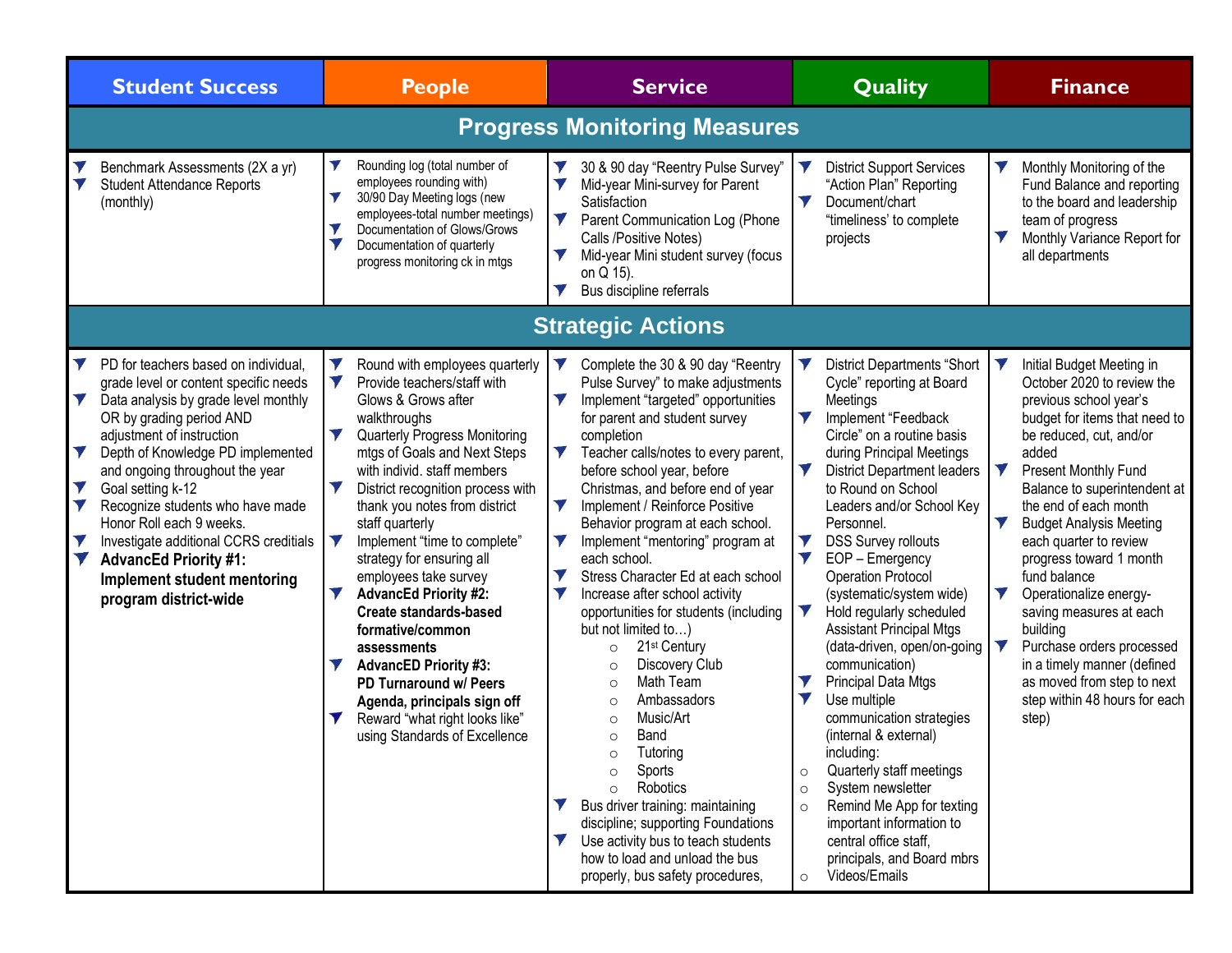|                                               | <b>Student Success</b>                                                                                                                                                                                                                                                                                                                                                                                                                                                        | <b>People</b>                                                                                                                                                                                                                                                                                                                                                                                                                                                                                                                                                                                                                                                                                | <b>Service</b>                                                                                                                                                                                                                                                                                                                                                                                                                                                                                                                                                                                                                                                                                                                                                                                                                                                                                                                                                                                                            | <b>Quality</b>                                                                                                                                                                                                                                                                                                                                                                                                                                                                                                                                                                                                                                                                                                                                                                                                                                                                                             | <b>Finance</b>                                                                                                                                                                                                                                                                                                                                                                                                                                                                                                                                                                 |  |  |
|-----------------------------------------------|-------------------------------------------------------------------------------------------------------------------------------------------------------------------------------------------------------------------------------------------------------------------------------------------------------------------------------------------------------------------------------------------------------------------------------------------------------------------------------|----------------------------------------------------------------------------------------------------------------------------------------------------------------------------------------------------------------------------------------------------------------------------------------------------------------------------------------------------------------------------------------------------------------------------------------------------------------------------------------------------------------------------------------------------------------------------------------------------------------------------------------------------------------------------------------------|---------------------------------------------------------------------------------------------------------------------------------------------------------------------------------------------------------------------------------------------------------------------------------------------------------------------------------------------------------------------------------------------------------------------------------------------------------------------------------------------------------------------------------------------------------------------------------------------------------------------------------------------------------------------------------------------------------------------------------------------------------------------------------------------------------------------------------------------------------------------------------------------------------------------------------------------------------------------------------------------------------------------------|------------------------------------------------------------------------------------------------------------------------------------------------------------------------------------------------------------------------------------------------------------------------------------------------------------------------------------------------------------------------------------------------------------------------------------------------------------------------------------------------------------------------------------------------------------------------------------------------------------------------------------------------------------------------------------------------------------------------------------------------------------------------------------------------------------------------------------------------------------------------------------------------------------|--------------------------------------------------------------------------------------------------------------------------------------------------------------------------------------------------------------------------------------------------------------------------------------------------------------------------------------------------------------------------------------------------------------------------------------------------------------------------------------------------------------------------------------------------------------------------------|--|--|
| <b>Progress Monitoring Measures</b>           |                                                                                                                                                                                                                                                                                                                                                                                                                                                                               |                                                                                                                                                                                                                                                                                                                                                                                                                                                                                                                                                                                                                                                                                              |                                                                                                                                                                                                                                                                                                                                                                                                                                                                                                                                                                                                                                                                                                                                                                                                                                                                                                                                                                                                                           |                                                                                                                                                                                                                                                                                                                                                                                                                                                                                                                                                                                                                                                                                                                                                                                                                                                                                                            |                                                                                                                                                                                                                                                                                                                                                                                                                                                                                                                                                                                |  |  |
| $\blacktriangledown$                          | Benchmark Assessments (2X a yr)<br><b>Student Attendance Reports</b><br>(monthly)                                                                                                                                                                                                                                                                                                                                                                                             | Rounding log (total number of<br>employees rounding with)<br>30/90 Day Meeting logs (new<br>$\blacktriangledown$<br>employees-total number meetings)<br>$\blacktriangledown$<br>Documentation of Glows/Grows<br>V<br>Documentation of quarterly<br>progress monitoring ck in mtgs                                                                                                                                                                                                                                                                                                                                                                                                            | V<br>30 & 90 day "Reentry Pulse Survey"<br>V<br>Mid-year Mini-survey for Parent<br>Satisfaction<br>$\blacktriangledown$<br>Parent Communication Log (Phone<br>Calls /Positive Notes)<br>V<br>Mid-year Mini student survey (focus<br>on Q 15).<br>Bus discipline referrals                                                                                                                                                                                                                                                                                                                                                                                                                                                                                                                                                                                                                                                                                                                                                 | <b>District Support Services</b><br>"Action Plan" Reporting<br>V<br>Document/chart<br>"timeliness' to complete<br>projects                                                                                                                                                                                                                                                                                                                                                                                                                                                                                                                                                                                                                                                                                                                                                                                 | $\blacktriangledown$<br>Monthly Monitoring of the<br>Fund Balance and reporting<br>to the board and leadership<br>team of progress<br>V<br>Monthly Variance Report for<br>all departments                                                                                                                                                                                                                                                                                                                                                                                      |  |  |
|                                               |                                                                                                                                                                                                                                                                                                                                                                                                                                                                               |                                                                                                                                                                                                                                                                                                                                                                                                                                                                                                                                                                                                                                                                                              | <b>Strategic Actions</b>                                                                                                                                                                                                                                                                                                                                                                                                                                                                                                                                                                                                                                                                                                                                                                                                                                                                                                                                                                                                  |                                                                                                                                                                                                                                                                                                                                                                                                                                                                                                                                                                                                                                                                                                                                                                                                                                                                                                            |                                                                                                                                                                                                                                                                                                                                                                                                                                                                                                                                                                                |  |  |
| V<br>V<br>$\blacktriangledown$<br>V<br>V<br>V | PD for teachers based on individual,<br>grade level or content specific needs<br>Data analysis by grade level monthly<br>OR by grading period AND<br>adjustment of instruction<br>Depth of Knowledge PD implemented<br>and ongoing throughout the year<br>Goal setting k-12<br>Recognize students who have made<br>Honor Roll each 9 weeks.<br>Investigate additional CCRS creditials<br><b>AdvancEd Priority #1:</b><br>Implement student mentoring<br>program district-wide | V<br>Round with employees quarterly<br>V<br>Provide teachers/staff with<br>Glows & Grows after<br>walkthroughs<br>$\blacktriangledown$<br><b>Quarterly Progress Monitoring</b><br>mtgs of Goals and Next Steps<br>with individ. staff members<br>District recognition process with<br>thank you notes from district<br>staff quarterly<br>Implement "time to complete"<br>strategy for ensuring all<br>employees take survey<br><b>AdvancEd Priority #2:</b><br><b>Create standards-based</b><br>formative/common<br>assessments<br><b>AdvancED Priority #3:</b><br>PD Turnaround w/ Peers<br>Agenda, principals sign off<br>Reward "what right looks like"<br>using Standards of Excellence | Complete the 30 & 90 day "Reentry<br>V<br>Pulse Survey" to make adjustments<br>V<br>Implement "targeted" opportunities<br>for parent and student survey<br>completion<br>$\blacktriangledown$<br>Teacher calls/notes to every parent,<br>before school year, before<br>Christmas, and before end of year<br>V<br>Implement / Reinforce Positive<br>Behavior program at each school.<br>V<br>Implement "mentoring" program at<br>each school.<br>Stress Character Ed at each school<br>V<br>V<br>Increase after school activity<br>opportunities for students (including<br>but not limited to)<br>21 <sup>st</sup> Century<br>$\circ$<br>Discovery Club<br>$\circ$<br>Math Team<br>$\circ$<br>Ambassadors<br>$\circ$<br>Music/Art<br>$\Omega$<br>Band<br>$\circ$<br>Tutoring<br>$\circ$<br>Sports<br>$\circ$<br>Robotics<br>$\circ$<br>Bus driver training: maintaining<br>discipline; supporting Foundations<br>Use activity bus to teach students<br>how to load and unload the bus<br>properly, bus safety procedures, | <b>District Departments "Short</b><br>Cycle" reporting at Board<br>Meetings<br>V<br>Implement "Feedback<br>Circle" on a routine basis<br>during Principal Meetings<br>V<br><b>District Department leaders</b><br>to Round on School<br>Leaders and/or School Key<br>Personnel.<br>V<br><b>DSS Survey rollouts</b><br>$\blacktriangledown$<br>EOP - Emergency<br><b>Operation Protocol</b><br>(systematic/system wide)<br>Hold regularly scheduled<br><b>Assistant Principal Mtgs</b><br>(data-driven, open/on-going<br>communication)<br>V<br>Principal Data Mtgs<br>$\blacktriangledown$<br>Use multiple<br>communication strategies<br>(internal & external)<br>including:<br>Quarterly staff meetings<br>$\circ$<br>System newsletter<br>$\circ$<br>Remind Me App for texting<br>$\circ$<br>important information to<br>central office staff,<br>principals, and Board mbrs<br>Videos/Emails<br>$\circ$ | N<br>Initial Budget Meeting in<br>October 2020 to review the<br>previous school year's<br>budget for items that need to<br>be reduced, cut, and/or<br>added<br>V<br><b>Present Monthly Fund</b><br>Balance to superintendent at<br>the end of each month<br>V<br><b>Budget Analysis Meeting</b><br>each quarter to review<br>progress toward 1 month<br>fund balance<br>V<br>Operationalize energy-<br>saving measures at each<br>building<br>Purchase orders processed<br>in a timely manner (defined<br>as moved from step to next<br>step within 48 hours for each<br>step) |  |  |